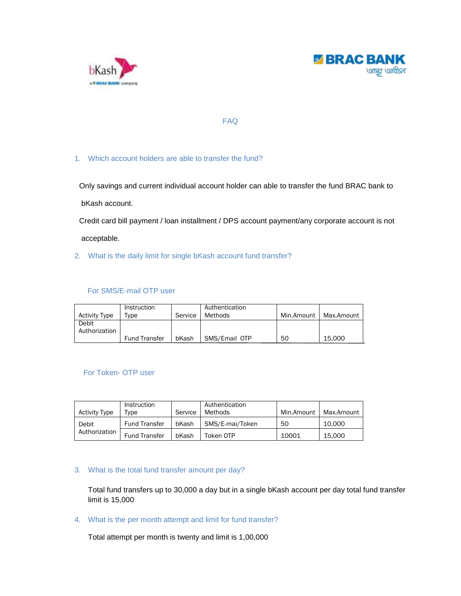



# FAQ

# 1. Which account holders are able to transfer the fund?

Only savings and current individual account holder can able to transfer the fund BRAC bank to

bKash account.

 Credit card bill payment / loan installment / DPS account payment/any corporate account is not acceptable.

2. What is the daily limit for single bKash account fund transfer?

# For SMS/E-mail OTP user

| <b>Activity Type</b>   | Instruction<br>Tvpe  | Service | Authentication<br>Methods | Min.Amount | Max.Amount |
|------------------------|----------------------|---------|---------------------------|------------|------------|
| Debit<br>Authorization |                      |         |                           |            |            |
|                        | <b>Fund Transfer</b> | bKash   | SMS/Email OTP             | 50         | 15.000     |

# For Token- OTP user

| <b>Activity Type</b>   | Instruction<br>Type  | Service | Authentication<br>Methods | Min.Amount | Max.Amount |
|------------------------|----------------------|---------|---------------------------|------------|------------|
| Debit<br>Authorization | <b>Fund Transfer</b> | bKash   | SMS/E-mai/Token           | 50         | 10.000     |
|                        | <b>Fund Transfer</b> | bKash   | Token OTP                 | 10001      | 15.000     |

## 3. What is the total fund transfer amount per day?

Total fund transfers up to 30,000 a day but in a single bKash account per day total fund transfer limit is 15,000

4. What is the per month attempt and limit for fund transfer?

Total attempt per month is twenty and limit is 1,00,000